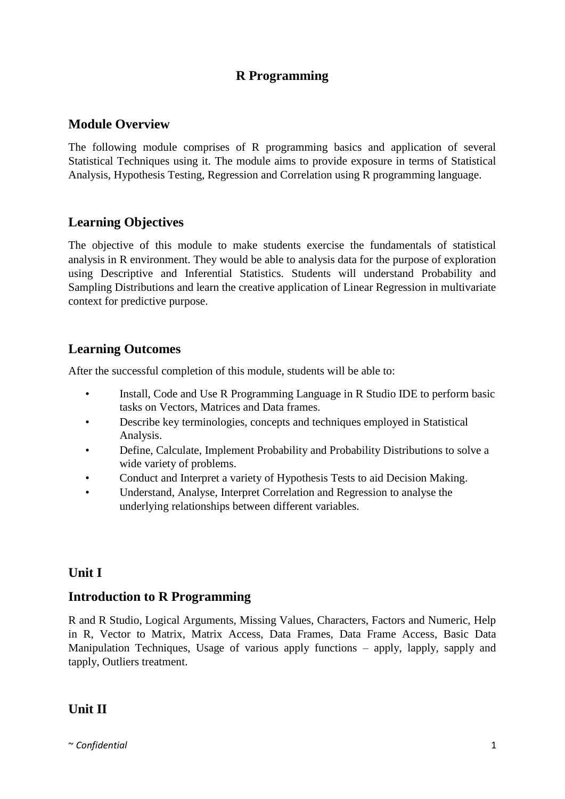## **R Programming**

### **Module Overview**

The following module comprises of R programming basics and application of several Statistical Techniques using it. The module aims to provide exposure in terms of Statistical Analysis, Hypothesis Testing, Regression and Correlation using R programming language.

## **Learning Objectives**

The objective of this module to make students exercise the fundamentals of statistical analysis in R environment. They would be able to analysis data for the purpose of exploration using Descriptive and Inferential Statistics. Students will understand Probability and Sampling Distributions and learn the creative application of Linear Regression in multivariate context for predictive purpose.

# **Learning Outcomes**

After the successful completion of this module, students will be able to:

- Install, Code and Use R Programming Language in R Studio IDE to perform basic tasks on Vectors, Matrices and Data frames.
- Describe key terminologies, concepts and techniques employed in Statistical Analysis.
- Define, Calculate, Implement Probability and Probability Distributions to solve a wide variety of problems.
- Conduct and Interpret a variety of Hypothesis Tests to aid Decision Making.
- Understand, Analyse, Interpret Correlation and Regression to analyse the underlying relationships between different variables.

## **Unit I**

## **Introduction to R Programming**

R and R Studio, Logical Arguments, Missing Values, Characters, Factors and Numeric, Help in R, Vector to Matrix, Matrix Access, Data Frames, Data Frame Access, Basic Data Manipulation Techniques, Usage of various apply functions – apply, lapply, sapply and tapply, Outliers treatment.

# **Unit II**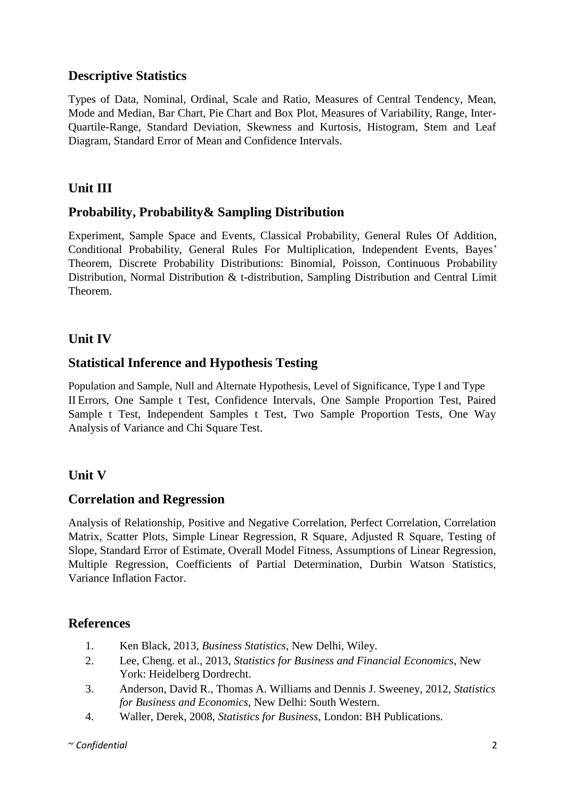## **Descriptive Statistics**

Types of Data, Nominal, Ordinal, Scale and Ratio, Measures of Central Tendency, Mean, Mode and Median, Bar Chart, Pie Chart and Box Plot, Measures of Variability, Range, Inter-Quartile-Range, Standard Deviation, Skewness and Kurtosis, Histogram, Stem and Leaf Diagram, Standard Error of Mean and Confidence Intervals.

# **Unit III**

# **Probability, Probability& Sampling Distribution**

Experiment, Sample Space and Events, Classical Probability, General Rules Of Addition, Conditional Probability, General Rules For Multiplication, Independent Events, Bayes' Theorem, Discrete Probability Distributions: Binomial, Poisson, Continuous Probability Distribution, Normal Distribution & t-distribution, Sampling Distribution and Central Limit Theorem.

# **Unit IV**

## **Statistical Inference and Hypothesis Testing**

Population and Sample, Null and Alternate Hypothesis, Level of Significance, Type I and Type II Errors, One Sample t Test, Confidence Intervals, One Sample Proportion Test, Paired Sample t Test, Independent Samples t Test, Two Sample Proportion Tests, One Way Analysis of Variance and Chi Square Test.

## **Unit V**

## **Correlation and Regression**

Analysis of Relationship, Positive and Negative Correlation, Perfect Correlation, Correlation Matrix, Scatter Plots, Simple Linear Regression, R Square, Adjusted R Square, Testing of Slope, Standard Error of Estimate, Overall Model Fitness, Assumptions of Linear Regression, Multiple Regression, Coefficients of Partial Determination, Durbin Watson Statistics, Variance Inflation Factor.

- 1. Ken Black, 2013, *Business Statistics*, New Delhi, Wiley.
- 2. Lee, Cheng. et al., 2013, *Statistics for Business and Financial Economics*, New York: Heidelberg Dordrecht.
- 3. Anderson, David R., Thomas A. Williams and Dennis J. Sweeney, 2012, *Statistics for Business and Economics*, New Delhi: South Western.
- 4. Waller, Derek, 2008, *Statistics for Business*, London: BH Publications.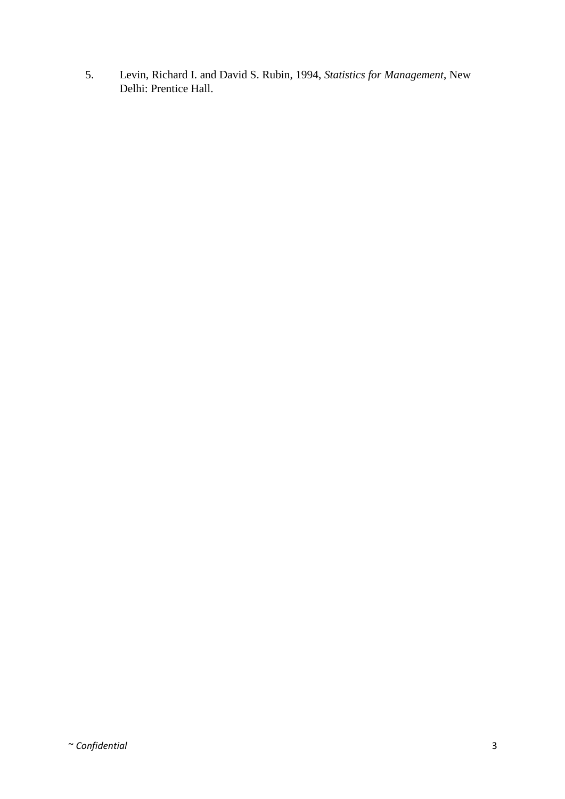5. Levin, Richard I. and David S. Rubin, 1994, *Statistics for Management*, New Delhi: Prentice Hall.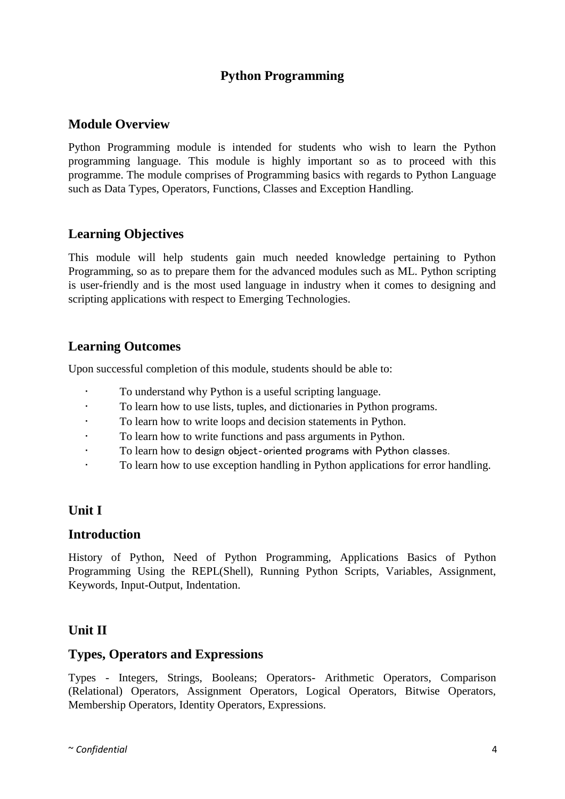# **Python Programming**

### **Module Overview**

Python Programming module is intended for students who wish to learn the Python programming language. This module is highly important so as to proceed with this programme. The module comprises of Programming basics with regards to Python Language such as Data Types, Operators, Functions, Classes and Exception Handling.

## **Learning Objectives**

This module will help students gain much needed knowledge pertaining to Python Programming, so as to prepare them for the advanced modules such as ML. Python scripting is user-friendly and is the most used language in industry when it comes to designing and scripting applications with respect to Emerging Technologies.

### **Learning Outcomes**

Upon successful completion of this module, students should be able to:

- To understand why Python is a useful scripting language.
- To learn how to use lists, tuples, and dictionaries in Python programs.
- To learn how to write loops and decision statements in Python.
- To learn how to write functions and pass arguments in Python.
- To learn how to design object-oriented programs with Python classes.
- To learn how to use exception handling in Python applications for error handling.

## **Unit I**

#### **Introduction**

History of Python, Need of Python Programming, Applications Basics of Python Programming Using the REPL(Shell), Running Python Scripts, Variables, Assignment, Keywords, Input-Output, Indentation.

## **Unit II**

#### **Types, Operators and Expressions**

Types - Integers, Strings, Booleans; Operators- Arithmetic Operators, Comparison (Relational) Operators, Assignment Operators, Logical Operators, Bitwise Operators, Membership Operators, Identity Operators, Expressions.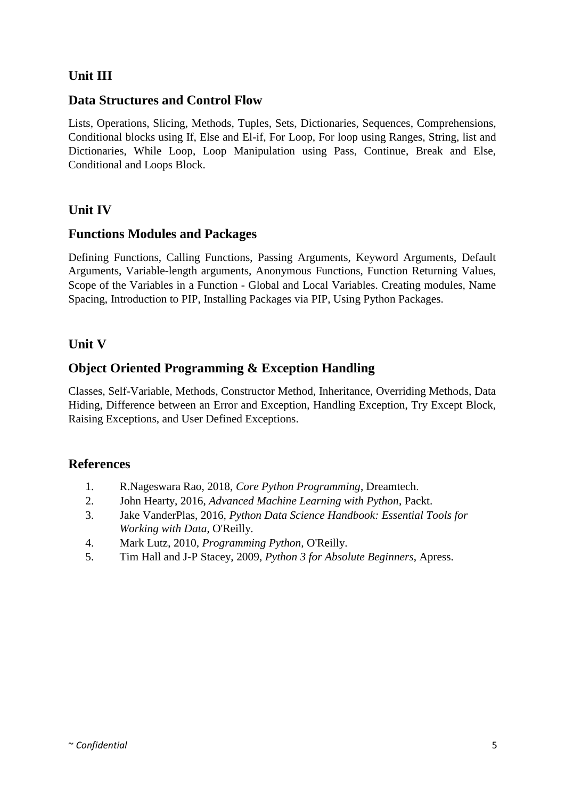# **Unit III**

## **Data Structures and Control Flow**

Lists, Operations, Slicing, Methods, Tuples, Sets, Dictionaries, Sequences, Comprehensions, Conditional blocks using If, Else and El-if, For Loop, For loop using Ranges, String, list and Dictionaries, While Loop, Loop Manipulation using Pass, Continue, Break and Else, Conditional and Loops Block.

# **Unit IV**

### **Functions Modules and Packages**

Defining Functions, Calling Functions, Passing Arguments, Keyword Arguments, Default Arguments, Variable-length arguments, Anonymous Functions, Function Returning Values, Scope of the Variables in a Function - Global and Local Variables. Creating modules, Name Spacing, Introduction to PIP, Installing Packages via PIP, Using Python Packages.

## **Unit V**

## **Object Oriented Programming & Exception Handling**

Classes, Self-Variable, Methods, Constructor Method, Inheritance, Overriding Methods, Data Hiding, Difference between an Error and Exception, Handling Exception, Try Except Block, Raising Exceptions, and User Defined Exceptions.

- 1. R.Nageswara Rao, 2018, *Core Python Programming*, Dreamtech.
- 2. John Hearty, 2016, *Advanced Machine Learning with Python*, Packt.
- 3. Jake VanderPlas, 2016, *Python Data Science Handbook: Essential Tools for Working with Data*, O'Reilly.
- 4. Mark Lutz, 2010, *Programming Python,* O'Reilly.
- 5. Tim Hall and J-P Stacey, 2009, *Python 3 for Absolute Beginners*, Apress.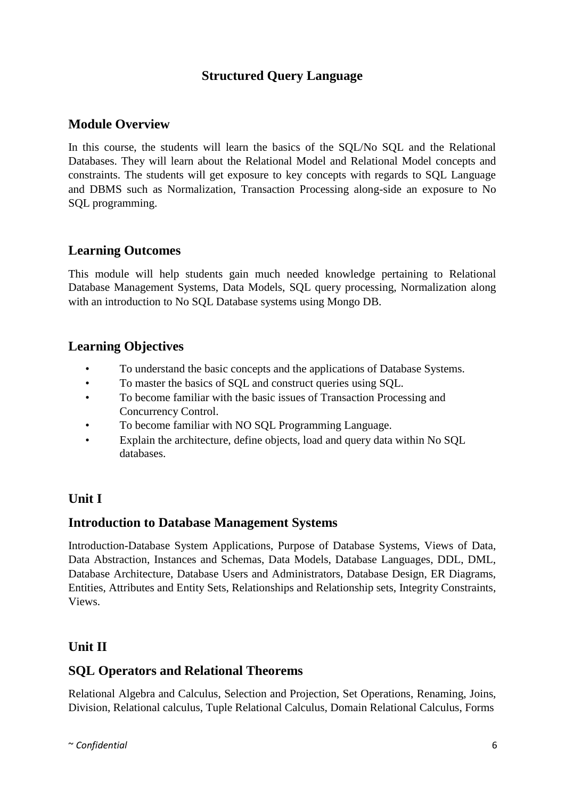# **Structured Query Language**

### **Module Overview**

In this course, the students will learn the basics of the SQL/No SQL and the Relational Databases. They will learn about the Relational Model and Relational Model concepts and constraints. The students will get exposure to key concepts with regards to SQL Language and DBMS such as Normalization, Transaction Processing along-side an exposure to No SQL programming.

### **Learning Outcomes**

This module will help students gain much needed knowledge pertaining to Relational Database Management Systems, Data Models, SQL query processing, Normalization along with an introduction to No SQL Database systems using Mongo DB.

### **Learning Objectives**

- To understand the basic concepts and the applications of Database Systems.
- To master the basics of SQL and construct queries using SQL.
- To become familiar with the basic issues of Transaction Processing and Concurrency Control.
- To become familiar with NO SQL Programming Language.
- Explain the architecture, define objects, load and query data within No SQL databases.

### **Unit I**

### **Introduction to Database Management Systems**

Introduction-Database System Applications, Purpose of Database Systems, Views of Data, Data Abstraction, Instances and Schemas, Data Models, Database Languages, DDL, DML, Database Architecture, Database Users and Administrators, Database Design, ER Diagrams, Entities, Attributes and Entity Sets, Relationships and Relationship sets, Integrity Constraints, Views.

## **Unit II**

## **SQL Operators and Relational Theorems**

Relational Algebra and Calculus, Selection and Projection, Set Operations, Renaming, Joins, Division, Relational calculus, Tuple Relational Calculus, Domain Relational Calculus, Forms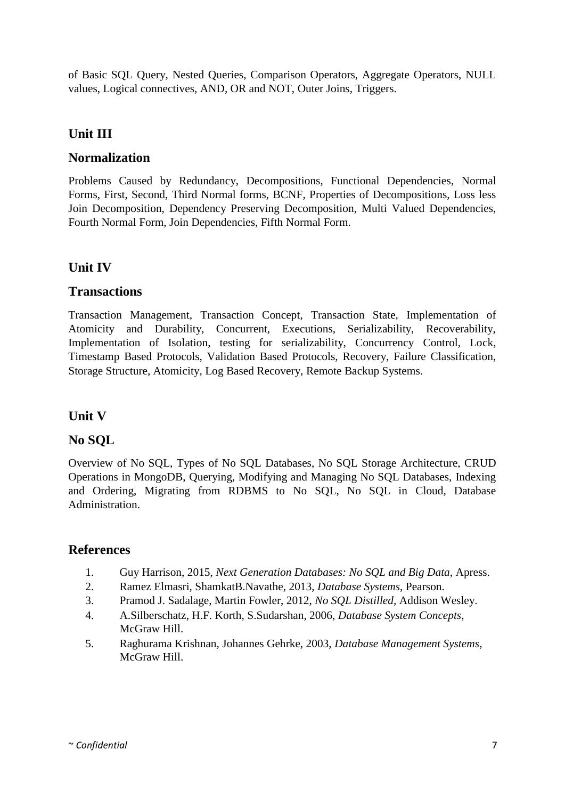of Basic SQL Query, Nested Queries, Comparison Operators, Aggregate Operators, NULL values, Logical connectives, AND, OR and NOT, Outer Joins, Triggers.

# **Unit III**

### **Normalization**

Problems Caused by Redundancy, Decompositions, Functional Dependencies, Normal Forms, First, Second, Third Normal forms, BCNF, Properties of Decompositions, Loss less Join Decomposition, Dependency Preserving Decomposition, Multi Valued Dependencies, Fourth Normal Form, Join Dependencies, Fifth Normal Form.

# **Unit IV**

### **Transactions**

Transaction Management, Transaction Concept, Transaction State, Implementation of Atomicity and Durability, Concurrent, Executions, Serializability, Recoverability, Implementation of Isolation, testing for serializability, Concurrency Control, Lock, Timestamp Based Protocols, Validation Based Protocols, Recovery, Failure Classification, Storage Structure, Atomicity, Log Based Recovery, Remote Backup Systems.

## **Unit V**

## **No SQL**

Overview of No SQL, Types of No SQL Databases, No SQL Storage Architecture, CRUD Operations in MongoDB, Querying, Modifying and Managing No SQL Databases, Indexing and Ordering, Migrating from RDBMS to No SQL, No SQL in Cloud, Database Administration.

- 1. Guy Harrison, 2015, *Next Generation Databases: No SQL and Big Data*, Apress.
- 2. Ramez Elmasri, ShamkatB.Navathe, 2013, *Database Systems*, Pearson.
- 3. Pramod J. Sadalage, Martin Fowler, 2012, *No SQL Distilled,* Addison Wesley.
- 4. A.Silberschatz, H.F. Korth, S.Sudarshan, 2006, *Database System Concepts*, McGraw Hill.
- 5. Raghurama Krishnan, Johannes Gehrke, 2003, *Database Management Systems*, McGraw Hill.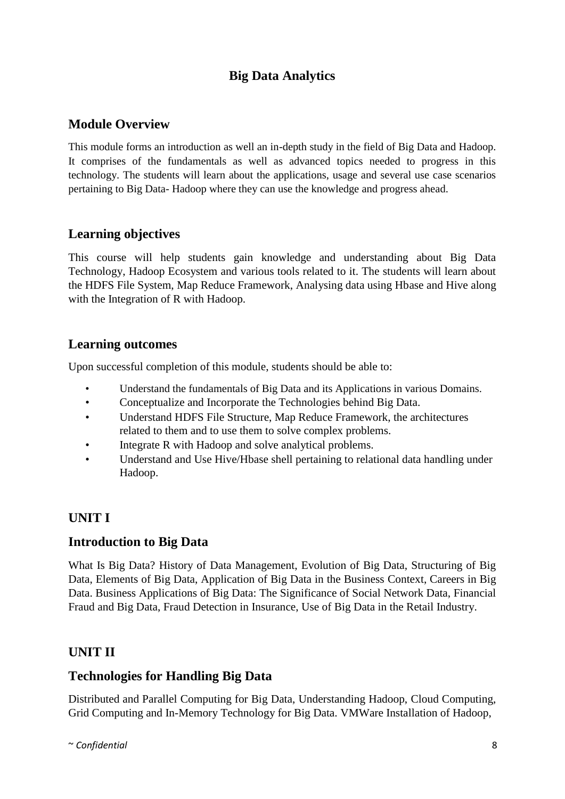# **Big Data Analytics**

## **Module Overview**

This module forms an introduction as well an in-depth study in the field of Big Data and Hadoop. It comprises of the fundamentals as well as advanced topics needed to progress in this technology. The students will learn about the applications, usage and several use case scenarios pertaining to Big Data- Hadoop where they can use the knowledge and progress ahead.

## **Learning objectives**

This course will help students gain knowledge and understanding about Big Data Technology, Hadoop Ecosystem and various tools related to it. The students will learn about the HDFS File System, Map Reduce Framework, Analysing data using Hbase and Hive along with the Integration of R with Hadoop.

### **Learning outcomes**

Upon successful completion of this module, students should be able to:

- Understand the fundamentals of Big Data and its Applications in various Domains.
- Conceptualize and Incorporate the Technologies behind Big Data.
- Understand HDFS File Structure, Map Reduce Framework, the architectures related to them and to use them to solve complex problems.
- Integrate R with Hadoop and solve analytical problems.
- Understand and Use Hive/Hbase shell pertaining to relational data handling under Hadoop.

## **UNIT I**

## **Introduction to Big Data**

What Is Big Data? History of Data Management, Evolution of Big Data, Structuring of Big Data, Elements of Big Data, Application of Big Data in the Business Context, Careers in Big Data. Business Applications of Big Data: The Significance of Social Network Data, Financial Fraud and Big Data, Fraud Detection in Insurance, Use of Big Data in the Retail Industry.

## **UNIT II**

### **Technologies for Handling Big Data**

Distributed and Parallel Computing for Big Data, Understanding Hadoop, Cloud Computing, Grid Computing and In-Memory Technology for Big Data. VMWare Installation of Hadoop,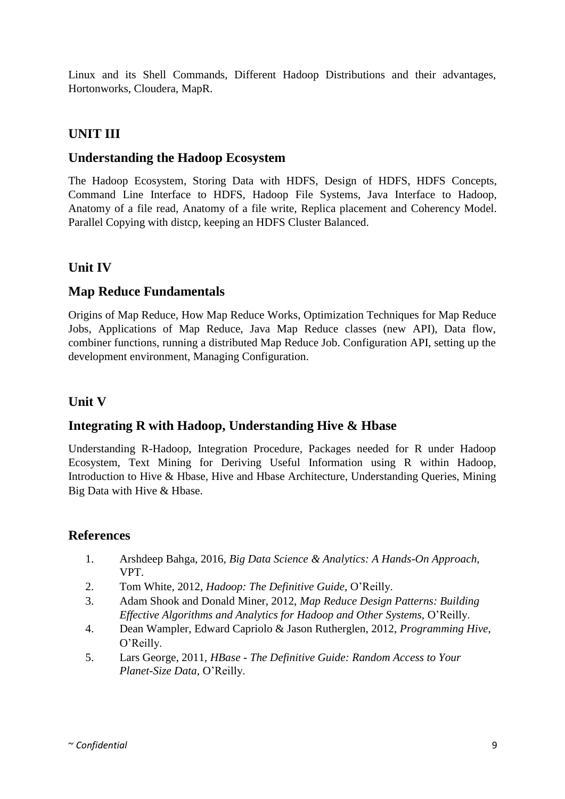Linux and its Shell Commands, Different Hadoop Distributions and their advantages, Hortonworks, Cloudera, MapR.

# **UNIT III**

### **Understanding the Hadoop Ecosystem**

The Hadoop Ecosystem, Storing Data with HDFS, Design of HDFS, HDFS Concepts, Command Line Interface to HDFS, Hadoop File Systems, Java Interface to Hadoop, Anatomy of a file read, Anatomy of a file write, Replica placement and Coherency Model. Parallel Copying with distcp, keeping an HDFS Cluster Balanced.

## **Unit IV**

## **Map Reduce Fundamentals**

Origins of Map Reduce, How Map Reduce Works, Optimization Techniques for Map Reduce Jobs, Applications of Map Reduce, Java Map Reduce classes (new API), Data flow, combiner functions, running a distributed Map Reduce Job. Configuration API, setting up the development environment, Managing Configuration.

## **Unit V**

## **Integrating R with Hadoop, Understanding Hive & Hbase**

Understanding R-Hadoop, Integration Procedure, Packages needed for R under Hadoop Ecosystem, Text Mining for Deriving Useful Information using R within Hadoop, Introduction to Hive & Hbase, Hive and Hbase Architecture, Understanding Queries, Mining Big Data with Hive & Hbase.

- 1. Arshdeep Bahga, 2016, *Big Data Science & Analytics: A Hands-On Approach,* VPT.
- 2. Tom White, 2012, *Hadoop: The Definitive Guide*, O'Reilly.
- 3. Adam Shook and Donald Miner, 2012, *Map Reduce Design Patterns: Building Effective Algorithms and Analytics for Hadoop and Other Systems,* O'Reilly.
- 4. Dean Wampler, Edward Capriolo & Jason Rutherglen, 2012, *Programming Hive*, O'Reilly.
- 5. Lars George, 2011, *HBase - The Definitive Guide: Random Access to Your Planet-Size Data,* O'Reilly.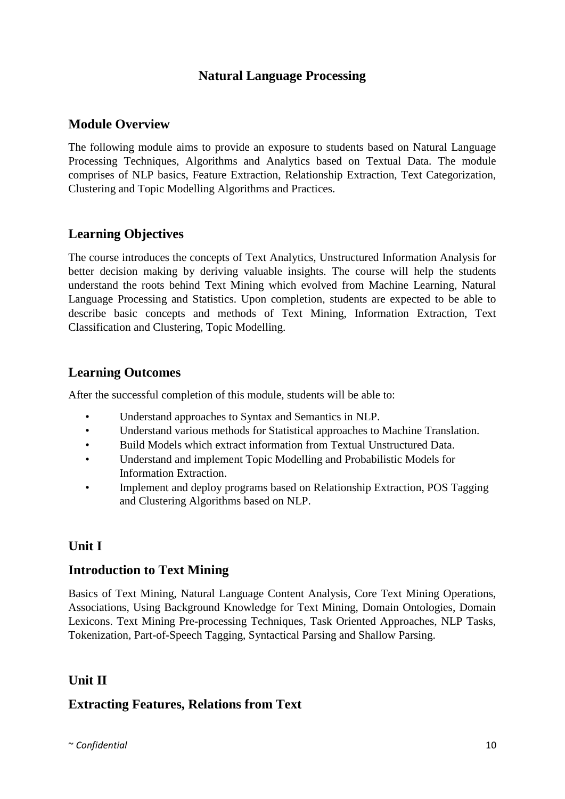## **Natural Language Processing**

### **Module Overview**

The following module aims to provide an exposure to students based on Natural Language Processing Techniques, Algorithms and Analytics based on Textual Data. The module comprises of NLP basics, Feature Extraction, Relationship Extraction, Text Categorization, Clustering and Topic Modelling Algorithms and Practices.

## **Learning Objectives**

The course introduces the concepts of Text Analytics, Unstructured Information Analysis for better decision making by deriving valuable insights. The course will help the students understand the roots behind Text Mining which evolved from Machine Learning, Natural Language Processing and Statistics. Upon completion, students are expected to be able to describe basic concepts and methods of Text Mining, Information Extraction, Text Classification and Clustering, Topic Modelling.

## **Learning Outcomes**

After the successful completion of this module, students will be able to:

- Understand approaches to Syntax and Semantics in NLP.
- Understand various methods for Statistical approaches to Machine Translation.
- Build Models which extract information from Textual Unstructured Data.
- Understand and implement Topic Modelling and Probabilistic Models for Information Extraction.
- Implement and deploy programs based on Relationship Extraction, POS Tagging and Clustering Algorithms based on NLP.

## **Unit I**

# **Introduction to Text Mining**

Basics of Text Mining, Natural Language Content Analysis, Core Text Mining Operations, Associations, Using Background Knowledge for Text Mining, Domain Ontologies, Domain Lexicons. Text Mining Pre-processing Techniques, Task Oriented Approaches, NLP Tasks, Tokenization, Part-of-Speech Tagging, Syntactical Parsing and Shallow Parsing.

# **Unit II**

## **Extracting Features, Relations from Text**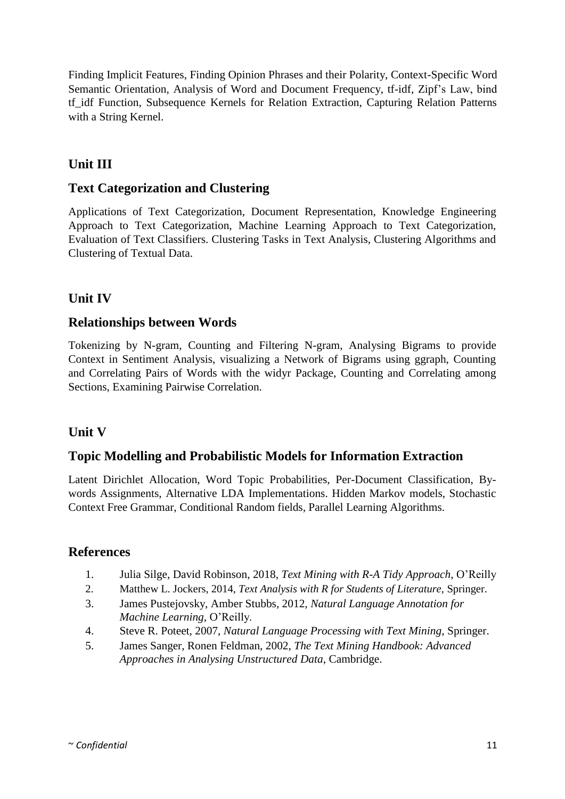Finding Implicit Features, Finding Opinion Phrases and their Polarity, Context-Specific Word Semantic Orientation, Analysis of Word and Document Frequency, tf-idf, Zipf's Law, bind tf idf Function, Subsequence Kernels for Relation Extraction, Capturing Relation Patterns with a String Kernel.

# **Unit III**

### **Text Categorization and Clustering**

Applications of Text Categorization, Document Representation, Knowledge Engineering Approach to Text Categorization, Machine Learning Approach to Text Categorization, Evaluation of Text Classifiers. Clustering Tasks in Text Analysis, Clustering Algorithms and Clustering of Textual Data.

# **Unit IV**

### **Relationships between Words**

Tokenizing by N-gram, Counting and Filtering N-gram, Analysing Bigrams to provide Context in Sentiment Analysis, visualizing a Network of Bigrams using ggraph, Counting and Correlating Pairs of Words with the widyr Package, Counting and Correlating among Sections, Examining Pairwise Correlation.

## **Unit V**

### **Topic Modelling and Probabilistic Models for Information Extraction**

Latent Dirichlet Allocation, Word Topic Probabilities, Per-Document Classification, Bywords Assignments, Alternative LDA Implementations. Hidden Markov models, Stochastic Context Free Grammar, Conditional Random fields, Parallel Learning Algorithms.

- 1. Julia Silge, David Robinson, 2018, *Text Mining with R-A Tidy Approach*, O'Reilly
- 2. Matthew L. Jockers, 2014, *Text Analysis with R for Students of Literature,* Springer.
- 3. James Pustejovsky, Amber Stubbs, 2012, *Natural Language Annotation for Machine Learning,* O'Reilly.
- 4. Steve R. Poteet, 2007, *Natural Language Processing with Text Mining*, Springer.
- 5. James Sanger, Ronen Feldman, 2002, *The Text Mining Handbook: Advanced Approaches in Analysing Unstructured Data*, Cambridge.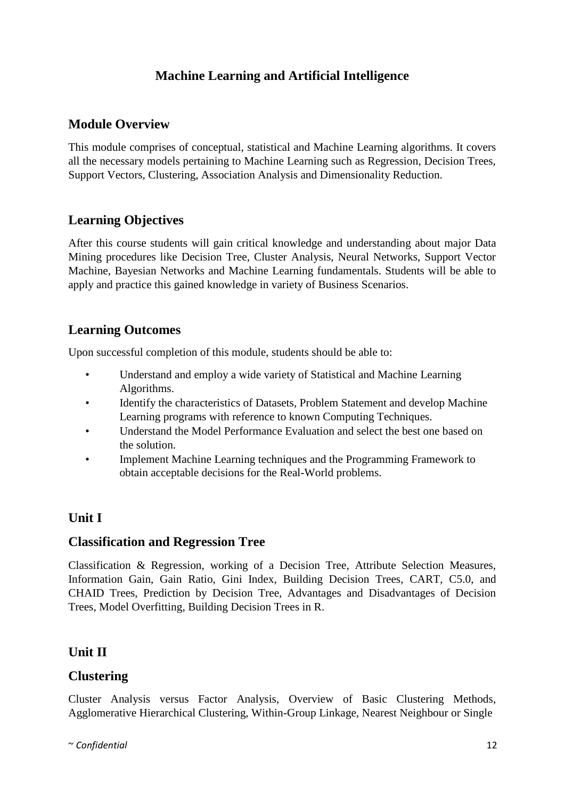# **Machine Learning and Artificial Intelligence**

# **Module Overview**

This module comprises of conceptual, statistical and Machine Learning algorithms. It covers all the necessary models pertaining to Machine Learning such as Regression, Decision Trees, Support Vectors, Clustering, Association Analysis and Dimensionality Reduction.

# **Learning Objectives**

After this course students will gain critical knowledge and understanding about major Data Mining procedures like Decision Tree, Cluster Analysis, Neural Networks, Support Vector Machine, Bayesian Networks and Machine Learning fundamentals. Students will be able to apply and practice this gained knowledge in variety of Business Scenarios.

# **Learning Outcomes**

Upon successful completion of this module, students should be able to:

- Understand and employ a wide variety of Statistical and Machine Learning Algorithms.
- Identify the characteristics of Datasets, Problem Statement and develop Machine Learning programs with reference to known Computing Techniques.
- Understand the Model Performance Evaluation and select the best one based on the solution.
- Implement Machine Learning techniques and the Programming Framework to obtain acceptable decisions for the Real-World problems.

# **Unit I**

## **Classification and Regression Tree**

Classification & Regression, working of a Decision Tree, Attribute Selection Measures, Information Gain, Gain Ratio, Gini Index, Building Decision Trees, CART, C5.0, and CHAID Trees, Prediction by Decision Tree, Advantages and Disadvantages of Decision Trees, Model Overfitting, Building Decision Trees in R.

# **Unit II**

## **Clustering**

Cluster Analysis versus Factor Analysis, Overview of Basic Clustering Methods, Agglomerative Hierarchical Clustering, Within-Group Linkage, Nearest Neighbour or Single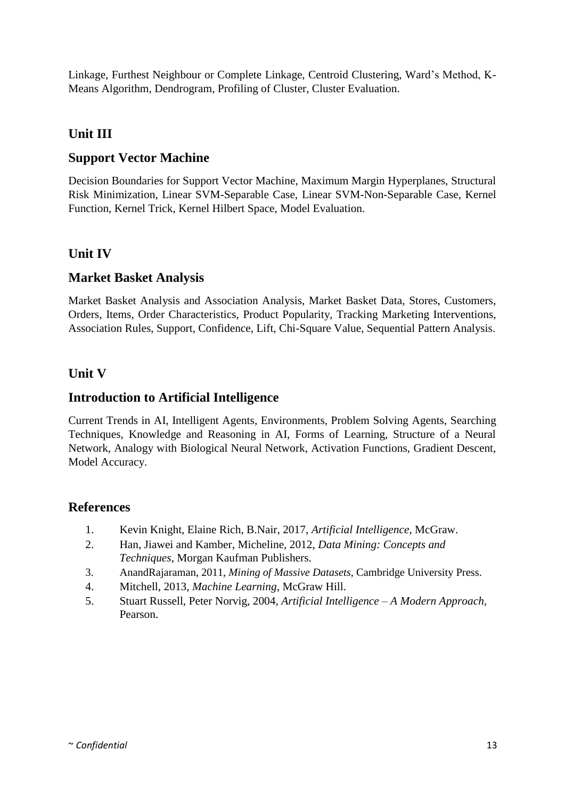Linkage, Furthest Neighbour or Complete Linkage, Centroid Clustering, Ward's Method, K-Means Algorithm, Dendrogram, Profiling of Cluster, Cluster Evaluation.

# **Unit III**

# **Support Vector Machine**

Decision Boundaries for Support Vector Machine, Maximum Margin Hyperplanes, Structural Risk Minimization, Linear SVM-Separable Case, Linear SVM-Non-Separable Case, Kernel Function, Kernel Trick, Kernel Hilbert Space, Model Evaluation.

# **Unit IV**

## **Market Basket Analysis**

Market Basket Analysis and Association Analysis, Market Basket Data, Stores, Customers, Orders, Items, Order Characteristics, Product Popularity, Tracking Marketing Interventions, Association Rules, Support, Confidence, Lift, Chi-Square Value, Sequential Pattern Analysis.

### **Unit V**

### **Introduction to Artificial Intelligence**

Current Trends in AI, Intelligent Agents, Environments, Problem Solving Agents, Searching Techniques, Knowledge and Reasoning in AI, Forms of Learning, Structure of a Neural Network, Analogy with Biological Neural Network, Activation Functions, Gradient Descent, Model Accuracy.

- 1. Kevin Knight, Elaine Rich, B.Nair, 2017, *Artificial Intelligence*, McGraw.
- 2. Han, Jiawei and Kamber, Micheline, 2012, *Data Mining: Concepts and Techniques*, Morgan Kaufman Publishers.
- 3. AnandRajaraman, 2011, *Mining of Massive Datasets*, Cambridge University Press.
- 4. Mitchell, 2013, *Machine Learning*, McGraw Hill.
- 5. Stuart Russell, Peter Norvig, 2004, *Artificial Intelligence – A Modern Approach,* Pearson.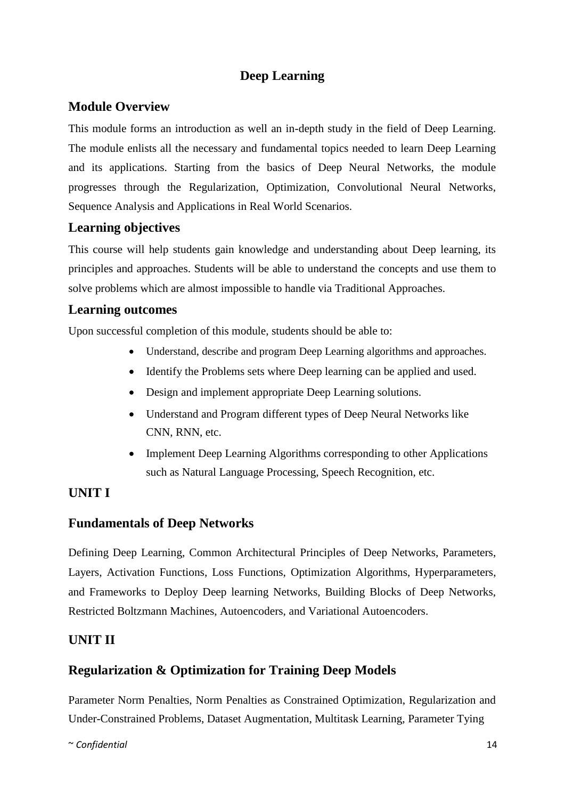# **Deep Learning**

# **Module Overview**

This module forms an introduction as well an in-depth study in the field of Deep Learning. The module enlists all the necessary and fundamental topics needed to learn Deep Learning and its applications. Starting from the basics of Deep Neural Networks, the module progresses through the Regularization, Optimization, Convolutional Neural Networks, Sequence Analysis and Applications in Real World Scenarios.

### **Learning objectives**

This course will help students gain knowledge and understanding about Deep learning, its principles and approaches. Students will be able to understand the concepts and use them to solve problems which are almost impossible to handle via Traditional Approaches.

### **Learning outcomes**

Upon successful completion of this module, students should be able to:

- Understand, describe and program Deep Learning algorithms and approaches.
- Identify the Problems sets where Deep learning can be applied and used.
- Design and implement appropriate Deep Learning solutions.
- Understand and Program different types of Deep Neural Networks like CNN, RNN, etc.
- Implement Deep Learning Algorithms corresponding to other Applications such as Natural Language Processing, Speech Recognition, etc.

## **UNIT I**

## **Fundamentals of Deep Networks**

Defining Deep Learning, Common Architectural Principles of Deep Networks, Parameters, Layers, Activation Functions, Loss Functions, Optimization Algorithms, Hyperparameters, and Frameworks to Deploy Deep learning Networks, Building Blocks of Deep Networks, Restricted Boltzmann Machines, Autoencoders, and Variational Autoencoders.

## **UNIT II**

## **Regularization & Optimization for Training Deep Models**

Parameter Norm Penalties, Norm Penalties as Constrained Optimization, Regularization and Under-Constrained Problems, Dataset Augmentation, Multitask Learning, Parameter Tying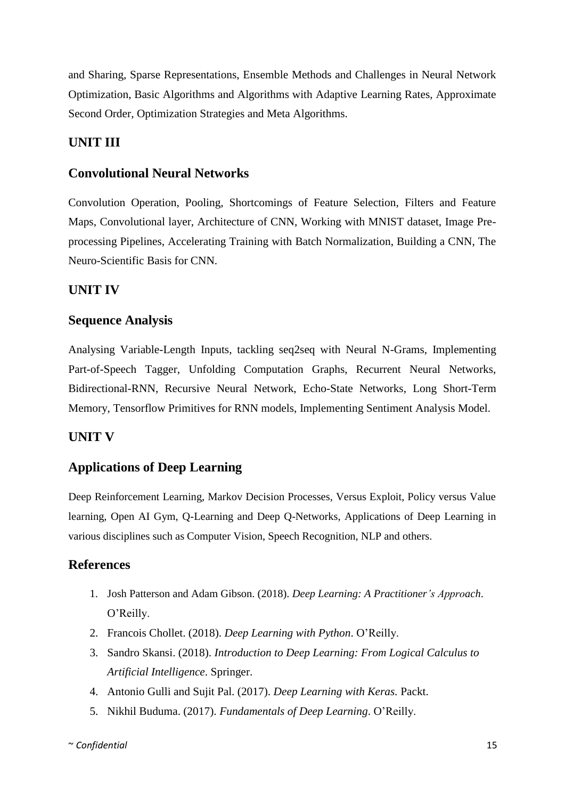and Sharing, Sparse Representations, Ensemble Methods and Challenges in Neural Network Optimization, Basic Algorithms and Algorithms with Adaptive Learning Rates, Approximate Second Order, Optimization Strategies and Meta Algorithms.

### **UNIT III**

#### **Convolutional Neural Networks**

Convolution Operation, Pooling, Shortcomings of Feature Selection, Filters and Feature Maps, Convolutional layer, Architecture of CNN, Working with MNIST dataset, Image Preprocessing Pipelines, Accelerating Training with Batch Normalization, Building a CNN, The Neuro-Scientific Basis for CNN.

#### **UNIT IV**

#### **Sequence Analysis**

Analysing Variable-Length Inputs, tackling seq2seq with Neural N-Grams, Implementing Part-of-Speech Tagger, Unfolding Computation Graphs, Recurrent Neural Networks, Bidirectional-RNN, Recursive Neural Network, Echo-State Networks, Long Short-Term Memory, Tensorflow Primitives for RNN models, Implementing Sentiment Analysis Model.

#### **UNIT V**

### **Applications of Deep Learning**

Deep Reinforcement Learning, Markov Decision Processes, Versus Exploit, Policy versus Value learning, Open AI Gym, Q-Learning and Deep Q-Networks, Applications of Deep Learning in various disciplines such as Computer Vision, Speech Recognition, NLP and others.

- 1. Josh Patterson and Adam Gibson. (2018). *Deep Learning: A Practitioner's Approach*. O'Reilly.
- 2. Francois Chollet. (2018). *Deep Learning with Python*. O'Reilly.
- 3. Sandro Skansi. (2018). *Introduction to Deep Learning: From Logical Calculus to Artificial Intelligence*. Springer.
- 4. Antonio Gulli and Sujit Pal. (2017). *Deep Learning with Keras.* Packt.
- 5. Nikhil Buduma. (2017). *Fundamentals of Deep Learning*. O'Reilly.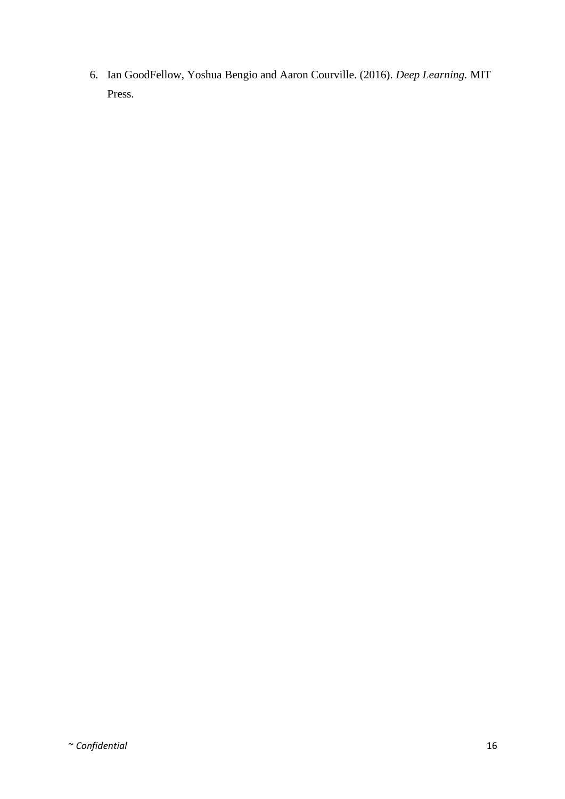6. Ian GoodFellow, Yoshua Bengio and Aaron Courville. (2016). *Deep Learning.* MIT Press.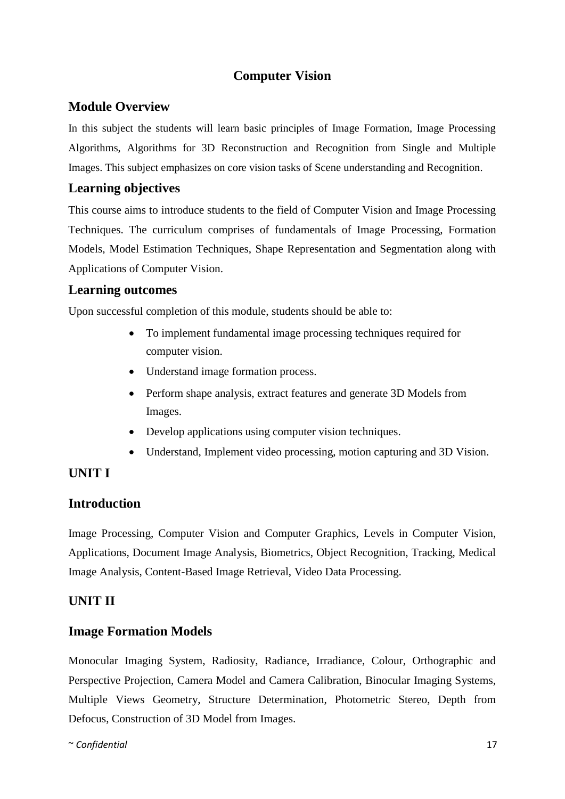# **Computer Vision**

### **Module Overview**

In this subject the students will learn basic principles of Image Formation, Image Processing Algorithms, Algorithms for 3D Reconstruction and Recognition from Single and Multiple Images. This subject emphasizes on core vision tasks of Scene understanding and Recognition.

### **Learning objectives**

This course aims to introduce students to the field of Computer Vision and Image Processing Techniques. The curriculum comprises of fundamentals of Image Processing, Formation Models, Model Estimation Techniques, Shape Representation and Segmentation along with Applications of Computer Vision.

### **Learning outcomes**

Upon successful completion of this module, students should be able to:

- To implement fundamental image processing techniques required for computer vision.
- Understand image formation process.
- Perform shape analysis, extract features and generate 3D Models from Images.
- Develop applications using computer vision techniques.
- Understand, Implement video processing, motion capturing and 3D Vision.

## **UNIT I**

## **Introduction**

Image Processing, Computer Vision and Computer Graphics, Levels in Computer Vision, Applications, Document Image Analysis, Biometrics, Object Recognition, Tracking, Medical Image Analysis, Content-Based Image Retrieval, Video Data Processing.

## **UNIT II**

### **Image Formation Models**

Monocular Imaging System, Radiosity, Radiance, Irradiance, Colour, Orthographic and Perspective Projection, Camera Model and Camera Calibration, Binocular Imaging Systems, Multiple Views Geometry, Structure Determination, Photometric Stereo, Depth from Defocus, Construction of 3D Model from Images.

~ *Confidential* 17